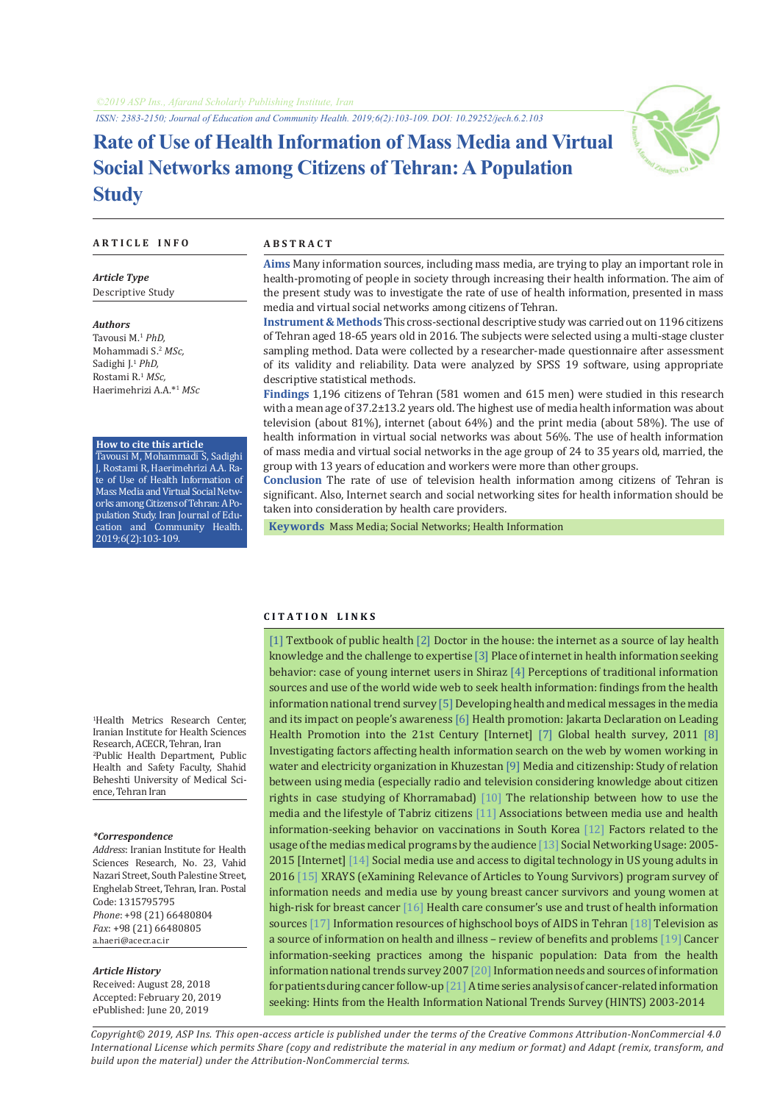*ISSN: 2383-2150; Journal of Education and Community Health. 2019;6(2):103-109. DOI: 10.29252/jech.6.2.103*

# **Rate of Use of Health Information of Mass Media and Virtual Social Networks among Citizens of Tehran: A Population Study**

#### **A R T I C L E I N F O A B S T R A C T**

*Article Type* Descriptive Study

*Authors* Tavousi M.1 *PhD,* Mohammadi S.<sup>2</sup>  *MSc,* Sadighi J.1  *PhD,* Rostami R.<sup>1</sup>  *MSc,* Haerimehrizi A.A.\*1 *MSc*

#### **How to cite this article**

Tavousi M, Mohammadi S, Sadighi J, Rostami R, Haerimehrizi A.A. Rate of Use of Health Information of Mass Media and Virtual Social Networks among Citizens of Tehran: A Population Study. Iran Journal of Education and Community Health. 2019;6(2):103-109.

**C I T A T I O N L I N K S**

**Aims** Many information sources, including mass media, are trying to play an important role in health-promoting of people in society through increasing their health information. The aim of the present study was to investigate the rate of use of health information, presented in mass media and virtual social networks among citizens of Tehran.

**Instrument & Methods** This cross-sectional descriptive study was carried out on 1196 citizens of Tehran aged 18-65 years old in 2016. The subjects were selected using a multi-stage cluster sampling method. Data were collected by a researcher-made questionnaire after assessment of its validity and reliability. Data were analyzed by SPSS 19 software, using appropriate descriptive statistical methods.

**Findings** 1,196 citizens of Tehran (581 women and 615 men) were studied in this research with a mean age of 37.2±13.2 years old. The highest use of media health information was about television (about 81%), internet (about 64%) and the print media (about 58%). The use of health information in virtual social networks was about 56%. The use of health information of mass media and virtual social networks in the age group of 24 to 35 years old, married, the group with 13 years of education and workers were more than other groups.

**Conclusion** The rate of use of television health information among citizens of Tehran is significant. Also, Internet search and social networking sites for health information should be taken into consideration by health care providers.

 **Keywords** [Mass Media](https://www.ncbi.nlm.nih.gov/mesh/68008402); [Social Networks;](https://www.ncbi.nlm.nih.gov/mesh/68060756) [Health Information](https://www.ncbi.nlm.nih.gov/mesh/68063005)

#### 1 Health Metrics Research Center, Iranian Institute for Health Sciences Research, ACECR, Tehran, Iran 2 Public Health Department, Public Health and Safety Faculty, Shahid Beheshti University of Medical Science, Tehran Iran

#### *\*Correspondence*

*Address*: Iranian Institute for Health Sciences Research, No. 23, Vahid Nazari Street, South Palestine Street, Enghelab Street, Tehran, Iran. Postal Code: 1315795795 *Phone*: +98 (21) 66480804 *Fax*: +98 (21) 66480805 a.haeri@acecr.ac.ir

#### *Article History*

Received: August 28, 2018 Accepted: February 20, 2019 ePublished: June 20, 2019

[[1\]](http://opac.nlai.ir/opac-prod/bibliographic/3089029) Textbook of public health [\[2](https://onlinelibrary.wiley.com/doi/abs/10.1111/1467-9566.00185)] Doctor in the house: the internet as a source of lay health knowledge and the challenge to expertise [\[3](http://hii.khu.ac.ir/article-1-2568-fa.html)] Place of internet in health information seeking behavior: case of young internet users in Shiraz [\[4\]](https://www.ncbi.nlm.nih.gov/pubmed/17934943) Perceptions of traditional information sources and use of the world wide web to seek health information: findings from the health information national trend survey [\[5\]](http://journals.sbmu.ac.ir/be/article/view/13967) Developing health and medical messages in the media and its impact on people's awareness [[6\]](https://www.who.int/healthpromotion/conferences/previous/jakarta/declaration/en/) Health promotion: Jakarta Declaration on Leading Health Promotion into the 21st Century [Internet] [\[7](https://slideplayer.com/slide/5977773/)] Global health survey, 2011 [[8\]](https://www.sid.ir/fa/journal/ViewPaper.aspx?id=194352) Investigating factors affecting health information search on the web by women working in water and electricity organization in Khuzestan [[9](https://www.sid.ir/Fa/Journal/ViewPaper.aspx?id=320519)] Media and citizenship: Study of relation between using media (especially radio and television considering knowledge about citizen rights in case studying of Khorramabad) [[10](http://jss.iaut.ac.ir/article_525185.html)] The relationship between how to use the media and the lifestyle of Tabriz citizens [\[11](https://www.ncbi.nlm.nih.gov/pubmed/28893212)] Associations between media use and health information-seeking behavior on vaccinations in South Korea [\[12\]](http://jmciri.ir/article-1-1685-fa.html) Factors related to the usage of the medias medical programs by the audience [\[13](https://www.pewinternet.org/2015/10/08/social-networking-usage-2005-2015/)] Social Networking Usage: 2005- 2015 [Internet] [\[14](https://www.ncbi.nlm.nih.gov/pubmed/28592394)] Social media use and access to digital technology in US young adults in 2016 [\[15](https://www.ncbi.nlm.nih.gov/pubmed/28956616)] XRAYS (eXamining Relevance of Articles to Young Survivors) program survey of information needs and media use by young breast cancer survivors and young women at high-risk for breast cancer [[16\]](https://www.tandfonline.com/doi/abs/10.1179/1753807611Y.0000000010) Health care consumer's use and trust of health information sources [[17\]](http://journal.qums.ac.ir/article-1-352-fa.html) Information resources of highschool boys of AIDS in Tehran [[18\]](https://www.umb.edu.pl/photo/pliki/progress-file/phs/phs_2015_2/169-173_bergier.pdf) Television as a source of information on health and illness – review of benefits and problems [[19\]](https://www.ncbi.nlm.nih.gov/pubmed/26078025) Cancer information-seeking practices among the hispanic population: Data from the health information national trends survey 2007 [[20](https://www.ncbi.nlm.nih.gov/pmc/articles/PMC4117614/)] Information needs and sources of information for patients during cancer follow-up  $[21]$  $[21]$  A time series analysis of cancer-related information seeking: Hints from the Health Information National Trends Survey (HINTS) 2003-2014

*Copyright© 2019, ASP Ins. This open-access article is published under the terms of the Creative Commons Attribution-NonCommercial 4.0 International License which permits Share (copy and redistribute the material in any medium or format) and Adapt (remix, transform, and build upon the material) under the Attribution-NonCommercial terms.*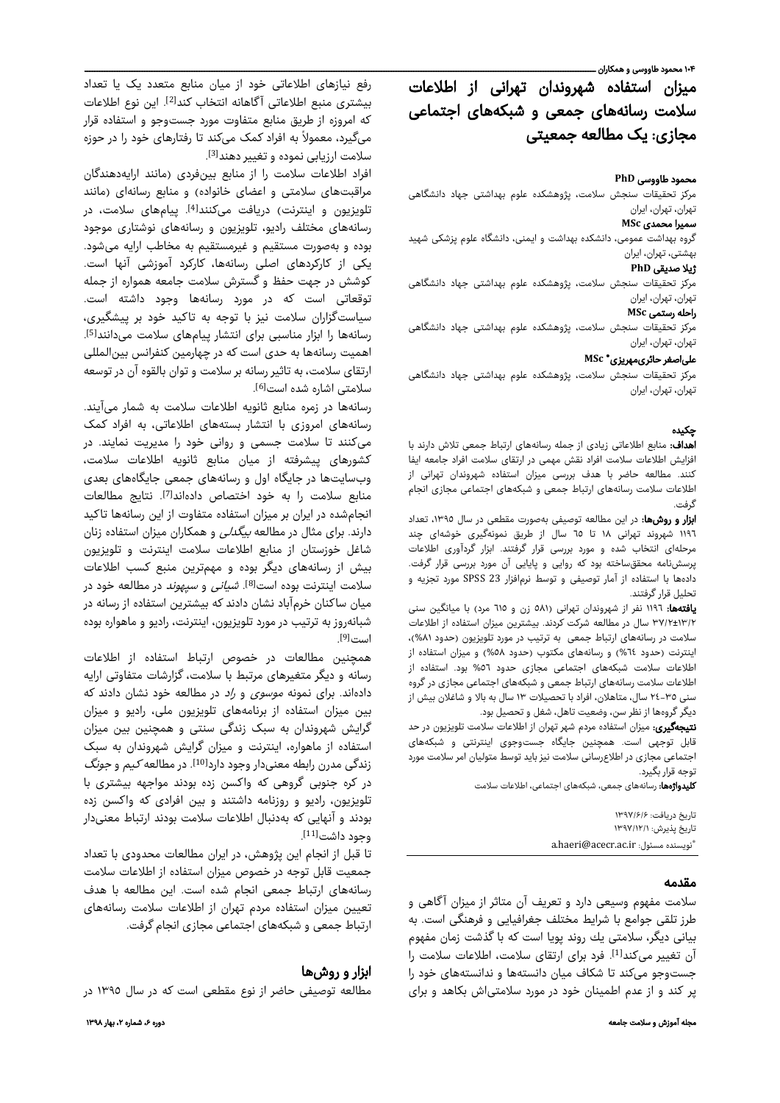# میزان استفاده شهروندان تهرانی از اطلاعات سلامت رسانههای جمعی و شبکههای اجتماعی مجازی: یک مطالعه جمعیتی

#### محمود طاووسی **PhD**

مرکز تحقیقات سنجش سلامت، پژوهشکده علوم بهداشتی جهاد دانشگاهی تهران، تهران، ایران

## سمیرا محمدی **MSc**

گروه بهداشت عمومی، دانشکده بهداشت و ایمنی، دانشگاه علوم پزشکی شهید بهشتی، تهران، ایران

#### ژیلا صدیقی **PhD**

مرکز تحقیقات سنجش سلامت، پژوهشکده علوم بهداشتی جهاد دانشگاهی تهران، تهران، ایران

#### راحله رستمی **MSc**

مرکز تحقیقات سنجش سلامت، پژوهشکده علوم بهداشتی جهاد دانشگاهی تهران، تهران، ایران

#### **MSc** \* علیاصغر حائریمهریزی

مرکز تحقیقات سنجش سلامت، پژوهشکده علوم بهداشتی جهاد دانشگاهی تهران، تهران، ایران

# چکيده

اهداف: منابع اطلاعاتی زیادی از جمله رسانههای ارتباط جمعی تلاش دارند با افزایش اطلاعات سلامت افراد نقش مهمی در ارتقای سلامت افراد جامعه ایفا کنند. مطالعه حاضر با هدف بررسی میزان استفاده شهروندان تهرانی از اطلاعات سلامت رسانههای ارتباط جمعی و شبکههای اجتماعی مجازی انجام گرفت.

ابزار و روشها: در این مطالعه توصیفی بهصورت مقطعی در سال ،١٣٩٥ تعداد ١١٩٦ شهروند تهرانی ١٨ تا ٦٥ سال از طریق نمونهگیری خوشهای چند مرحلهای انتخاب شده و مورد بررسی قرار گرفتند. ابزار گردآوری اطلاعات پرسشنامه محققساخته بود که روایی و پایایی آن مورد بررسی قرار گرفت. دادهها با استفاده از آمار توصیفی و توسط نرمافزار 23 SPSS مورد تجزیه و تحلیل قرار گرفتند.

یافتهها: ١١٩٦ نفر از شهروندان تهرانی (٥٨١ زن و ٦١٥ مرد) با میانگین سنی ٣٧/٢±١٣/٢ سال در مطالعه شرکت کردند. بیشترین میزان استفاده از اطلاعات سلامت در رسانههای ارتباط جمعی به ترتیب در مورد تلویزیون (حدود %٨١)، اینترنت (حدود ٦٤%) و رسانههای مکتوب (حدود ٥٨%) و میزان استفاده از اطلاعات سلامت شبکههای اجتماعی مجازی حدود ٥٦% بود. استفاده از اطلاعات سلامت رسانههای ارتباط جمعی و شبکههای اجتماعی مجازی در گروه سنی ٢٤-٣٥ سال، متاهلان، افراد با تحصیلات ١٣ سال به بالا و شاغلان بیش از دیگر گروهها از نظر سن، وضعیت تاهل، شغل و تحصیل بود.

**نتیجهگیری:** میزان استفاده مردم شهر تهران از اطلاعات سلامت تلویزیون در حد قابل توجهی است. همچنین جایگاه جستوجوی اینترنتی و شبکههای اجتماعی مجازی در اطلاعرسانی سلامت نیز باید توسط متولیان امر سلامت مورد توجه قرار بگیرد.

**کلیدواژهها:** رسانههای جمعی، شبکههای اجتماعی، اطلاعات سلامت

تاريخ دريافت: ۱۳۹۷/۶/۶ تاريخ پذيرش: ۱۳۹۷/۱۲/۱ \*a.haeri@acecr.ac.ir :مسئول نويسنده

### مقدمه

سلامت مفهوم وسیعی دارد و تعریف آن متاثر از میزان آگاهی و طرز تلقی جوامع با شرایط مختلف جغرافیایی و فرهنگی است . به بیانی دیگر، سلامتی یك روند پویا است که با گذشت زمان مفهوم آن تغییر می)کند<sup>[1]</sup>. فرد برای ارتقای سلامت، اطلاعات سلامت را جستوجو میکند تا شکاف میان دانستهها و ندانستههای خود را پر کند و از عدم اطمینان خود در مورد سلامتی|ش بکاهد و برای

رفع نیازهای اطلاعاتی خود از میان منابع متعدد یک یا تعداد بیشتری منبع اطلاعاتی آگاهانه انتخاب کند<sup>[2]</sup>. این نوع اطلاعات که امروزه از طریق منابع متفاوت مورد جستوجو و استفاده قرار می ً گیرد، معمولا به افراد کمک میکند تا رفتارهای خود را در حوزه سلامت ارزیابی نموده و تغییر دهند<sup>[3]</sup>.

افراد اطلاعات سلامت را از منابع بینفردی (مانند ارایهدهندگان مراقبتهای سلامتی و اعضای خانواده) و منابع رسانهای (مانند تلویزیون و اینترنت) دریافت میکنند<sup>[4]</sup>. پیامهای سلامت، در رسانههای مختلف رادیو، تلویزیون و رسانههای نوشتاری موجود بوده و بهصورت مستقیم و غیرمستقیم به مخاطب ارایه میشود. یكی از كاركردهای اصلی رسانهها، كاركرد آموزشی آنها است. كوشش در جهت حفظ و گسترش سلامت جامعه همواره از جمله توقعاتی است كه در مورد رسانهها وجود داشته است. سیاست زگ اران سلامت نیز با توجه به تاكید خود بر پیشگیری، رسانهها را ابزار مناسبی برای انتشار پیامهای سلامت میدانند<sup>[5]</sup>. اهمیت رسانهها به حدی است که در چهارمین کنفرانس بینالمللی ارتقای سلامت، به تاثیر رسانه بر سلامت و توان بالقوه آن در توسعه سلامتی اشاره شده است<sup>[6]</sup>.

رسانهها در زمره منابع ثانویه اطلاعات سلامت به شمار میآیند. رسانههای امروزی با انتشار بستههای اطلاعاتی، به افراد کمک میکنند تا سلامت جسمی و روانی خود را مدیریت نمایند. در کشورهای پیشرفته از میان منابع ثانویه اطلاعات سلامت، وبسایتها در جایگاه اول و رسانههای جمعی جایگاههای بعدی منابع سلامت را به خود اختصاص دادهاند<sup>[7]</sup>. نتایج مطالعات انجامشده در ایران بر میزان استفاده متفاوت از این رسانهها تاکید دارند. برای مثال در مطالعه بیگدلی و همکاران میزان استفاده زنان شاغل خوزستان از منابع اطلاعات سلامت اینترنت و تلویزیون بیش از رسانههای دیگر بوده و مهمترین منبع کسب اطلاعات سلامت اینترنت بوده است<sup>[8]</sup>. *شیانی* و *سپهوند* در مطالعه خود در میان ساکنان خرمآباد نشان دادند که بیشترین استفاده از رسانه در شبانهروز به ترتیب در مورد تلویزیون، اینترنت، رادیو و ماهواره بوده است<sup>[9]</sup>.

همچنین مطالعات در خصوص ارتباط استفاده از اطلاعات رسانه و دیگر متغیرهای مرتبط با سلامت، گزارشات متفاوتی ارایه دادهاند. برای نمونه موسوی و راد در مطالعه خود نشان دادند که بین میزان استفاده از برنامههای تلویزیون ملی، رادیو و میزان گرایش شهروندان به سبک زندگی سنتی و همچنین بین میزان استفاده از ماهواره، اینترنت و میزان گرایش شهروندان به سبک زندگی مدرن رابطه معنیدار وجود دارد<sup>[10]</sup>. در مطالعه *کیم* و *جونگ* در کره جنوبی گروهی که واکسن زده بودند مواجهه بیشتری با تلویزیون، رادیو و روزنامه داشتند و بین افرادی که واکسن زده بودند و آنهایی که بهدنبال اطلاعات سلامت بودند ارتباط معنیدار . [11] وجود داشت

تا قبل از انجام این پژوهش، در ایران مطالعات محدودی با تعداد جمعیت قابل توجه در خصوص میزان استفاده از اطلاعات سلامت رسانههای ارتباط جمعی انجام شده است. این مطالعه با هدف تعیین میزان استفاده مردم تهران از اطلاعات سلامت رسانههای ارتباط جمعی و شبکههای اجتماعی مجازی انجام گرفت.

# ابزار و روشها

مطالعه توصیفی حاضر از نوع مقطعی است که در سال ١٣٩٥ در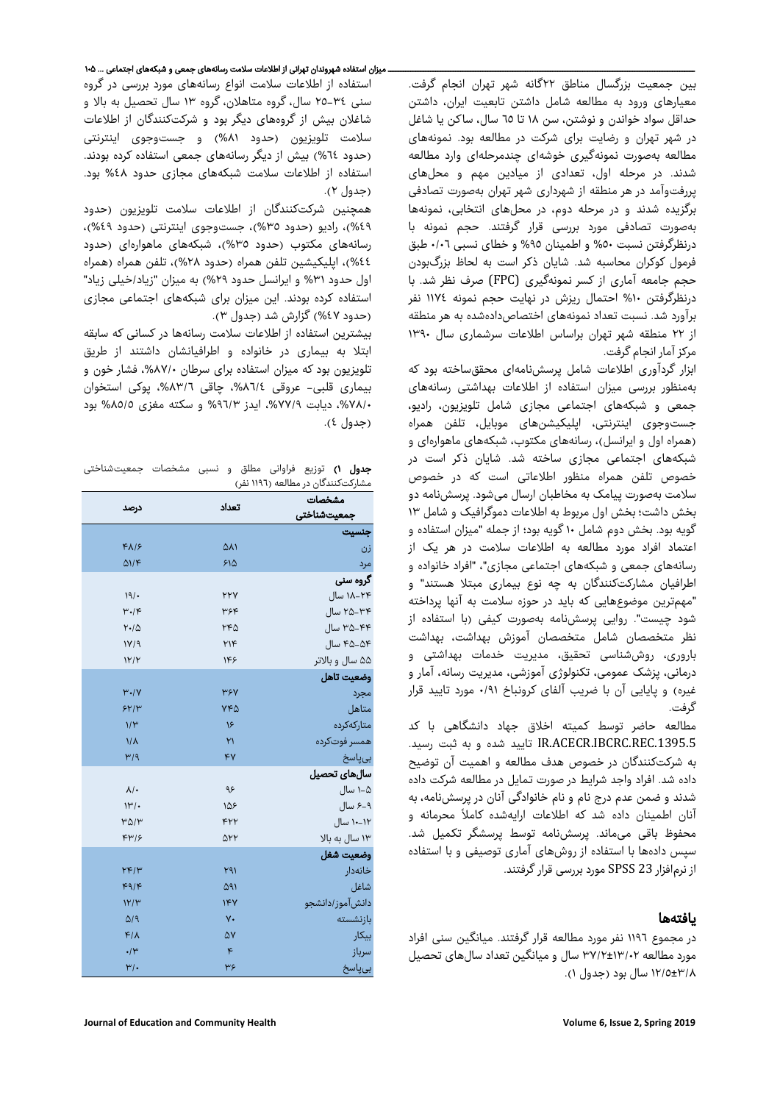بین جمعیت بزرگسال مناطق ٢٢گانه شهر تهران انجام گرفت. معیارهای ورود به مطالعه شامل داشتن تابعیت ایران، داشتن حداقل سواد خواندن و نوشتن، سن ١٨ ٦٥تا سال، ساکن یا شاغل در شهر تهران و رضایت برای شرکت در مطالعه بود. نمونههای مطالعه بهصورت نمونهگیری خوشهای چندمرحلهای وارد مطالعه شدند. در مرحله اول، تعدادی از میادین مهم و محلهای پررفتوآمد در هر منطقه از شهرداری شهر تهران بهصورت تصادفی برگزیده شدند و در مرحله دوم، در محلهای انتخابی، نمونهها بهصورت تصادفی مورد بررسی قرار گرفتند . حجم نمونه با درنظرگرفتن نسبت ٥٠ % ٩٥و اطمینان % و خطای نسبی ٠/٠٦ طبق فرمول کوکران محاسبه شد. شایان ذکر است به لحاظ بزرگبودن حجم جامعه آماری از کسر نمونهگیری (FPC (صرف نظر شد. با درنظرگرفتن ١٠ % احتمال ریزش در نهایت حجم نمونه ١١٧٤ نفر برآورد شد. نسبت تعداد نمونههای اختصاصدادهشده به هر منطقه از ٢٢ منطقه شهر تهران براساس اطلاعات سرشماری سال ١٣٩٠ مرکز آمار انجام گرفت.

ابزار گردآوری اطلاعات شامل پرسشنامهای محققساخته بود که منظور بررسی به میزان استفاده از اطلاعات بهداشتی رسانههای جمعی و شبکههای اجتماعی مجازی شامل تلویزیون، رادیو، جستوجوی اینترنتی، اپلیکیشنهای موبایل، تلفن همراه (همراه اول و ایرانسل)، رسانههای مکتوب، شبکههای ماهوارهای و شبکههای اجتماعی مجازی ساخته شد. شایان ذکر است در خصوص تلفن همراه منظور اطلاعاتی است که در خصوص سلامت بهصورت پیامک به مخاطبان ارسال میشود. پرسشنامه دو بخش داشت؛ بخش اول مربوط به اطلاعات دموگرافیک و شامل ١٣ گویه بود. بخش دوم شامل ١٠ گویه بود؛ از جمله "میزان استفاده و اعتماد افراد مورد مطالعه به اطلاعات سلامت در هر کی از رسانههای جمعی و شبکههای اجتماعی مجازی"، "افراد خانواده و اطرافیان مشارکتکنندگان به چه نوع بیماری مبتلا هستند " و "مهمترین موضوعهایی که باید در حوزه سلامت به آنها پرداخته شود چیست". روایی پرسشنامه بهصورت کیفی (با استفاده از نظر متخصصان شامل متخصصان آموزش بهداشت، بهداشت باروری، روششناسی تحقیق، مدیریت خدمات بهداشتی و درمانی، پزشک عمومی، تکنولوژی آموزشی، مدیریت رسانه، آمار و غیره) و پایایی آن با ضریب آلفای کرونباخ ٠/٩١ مورد تایید قرار گرفت.

مطالعه حاضر توسط کمیته اخلاق جهاد دانشگاهی با کد .1395.5REC.IBCRC.ACECR.IR تایید شده و به ثبت رسید. به شركتكنندگان در خصوص هدف مطالعه و اهمیت آن توضیح داده شد. افراد واجد شرایط در صورت تمایل در مطالعه شركت داده ندشد و ضمن عدم درج نام و نام خانوادگی آنان در پرسشنامه، به آنان اطمینان داده شد كه اطلاعات ارایهشده كاملاً محرمانه و محفوظ باقی میماند. پرسشنامه توسط پرسشگر تکمیل شد. سپس دادهها با استفاده از روشهای آماری توصیفی و با استفاده از نرمافزار 23 SPSS مورد بررسی قرار گرفتند.

# یافتهها

در مجموع ١١٩٦ نفر مورد مطالعه قرار گرفتند. میانگین سنی افراد مورد مطالعه ٣٧/٢±١٣/٠٢ سال و میانگین تعداد سالهای تحصیل ١٢/٥±٣/٨ سال بود (جدول ١).

## ـــــــــــــــــــــــــــــــــــــــــــــــــــــــــــــــــــــــــــــــــــــــــــــــــــــــــــــــــــــــــــ میزان استفاده شهروندان تهرانی از اطلاعات سلامت رسانههای جمعی و شبکههای اجتماعی ... ۱۰۵

استفاده از اطلاعات سلامت انواع رسانههای مورد بررسی در گروه سنی ٢٥-٣٤ سال، گروه متاهلان، گروه ١٣ سال تحصیل به بالا و شاغلان بیش از گروههای دیگر بود و شرکتکنندگان از اطلاعات سلامت تلویزیون (حدود %٨١) و جستوجوی اینترنتی ٦٤(حدود %) بیش از دیگر رسانههای جمعی استفاده کرده بودند. استفاده از اطلاعات سلامت شبکههای مجازی حدود ٤٨ % بود. ٢(جدول ).

همچنین شرکتکنندگان از اطلاعات سلامت تلویزیون ( حدود %٤٩ ،) رادیو ( حدود %٣٥ ،) جستوجوی اینترنتی ( حدود %٤٩ ،) رسانههای مکتوب ( حدود %٣٥ ،) شبکههای ماهوارهای (حدود %٤٤ ،) اپلیکیشین تلفن همراه ( حدود %٢٨ ،) تلفن همراه ( همراه اول حدود ٣١ % و ایرانسل حدود %٢٩) به میزان " زیاد/خیلی زیاد" استفاده کرده بودند. این میزان برای شبکههای اجتماعی مجازی (حدود %٤٧) گزارش شد ( جدول ٣).

بیشترین استفاده از اطلاعات سلامت رسانهها در کسانی که سابقه ابتلا به بیماری در خانواده و اطرافیانشان داشتند از طریق تلویزیون بود که میزان استفاده برای سرطان ،%٨٧/٠ فشار خون و بیماری قلبی - عروقی ،%٨٦/٤ چاقی ،%٨٣/٦ پوکی استخوان ،%٧٨/٠ دیابت ،%٧٧/٩ ایدز ٩٦/٣ % ٥و سکته مغزی ٨٥/ % بود ٤(جدول ).

جدول ١) توزیع فراوانی مطلق و نسبی مشخصات جمعیتشناختی مشارکتکنندگان در مطالعه (١١٩٦ نفر)

|                           | تعداد      | مشخصات          |
|---------------------------|------------|-----------------|
| درصد                      |            | جمعيتشناختي     |
|                           |            | جنسيت           |
| $F\Lambda/F$              | ۵۸۱        | زن              |
| QV                        | ۶۱۵        | مرد             |
|                           |            | گروه سنی        |
| 19/                       | YYY        | ۱۸-۲۴ سال       |
| $\mu \cdot k$             | ٣۶۴        | ۳۴–۲۵ سال       |
| Y.10                      | ۲۴۵        | ۳۵–۳۵ سال       |
| 1Y/9                      | MF         | ۴۵–۴۵ سال       |
| 1Y/Y                      | ۱۴۶        | ۵۵ سال و بالاتر |
|                           |            | وضعيت تاهل      |
| $Y \cdot / Y$             | <b>WSY</b> | مجرد            |
| 5Y/Y                      | ۷۴۵        | متاهل           |
| $V^{\mu}$                 | ١۶         | متاركهكرده      |
| $1/\lambda$               | ۲١         | همسر فوتكرده    |
| M/9                       | ۴V         | بىپاسخ          |
|                           |            | سالهای تحصیل    |
| $\lambda$ /.              | ۹۶         | ۱–۸ سال         |
| $\mathcal{W}/\mathcal{M}$ | 148        | ۹–۶ سال         |
| $M\Delta W$               | ۴۲۲        | ۱۲–۱۰ سال       |
| F''/s                     | ۵۲۲        | ۱۳ سال به بالا  |
|                           |            | وضعيت شغل       |
| YF/Y                      | ۲۹۱        | خانەدار         |
| F9/F                      | ۵۹۱        | شاغل            |
| 1Y/Y                      | 1FV        | دانشآموز/دانشجو |
| $\Delta$ /9               | ٧.         | بازنشسته        |
| $F/\lambda$               | ۵٧         | بيكار           |
| $\cdot$ /۳                | $\kappa$   | سرباز           |
| $\mu$ .                   | ٣۶         | بىپاسخ          |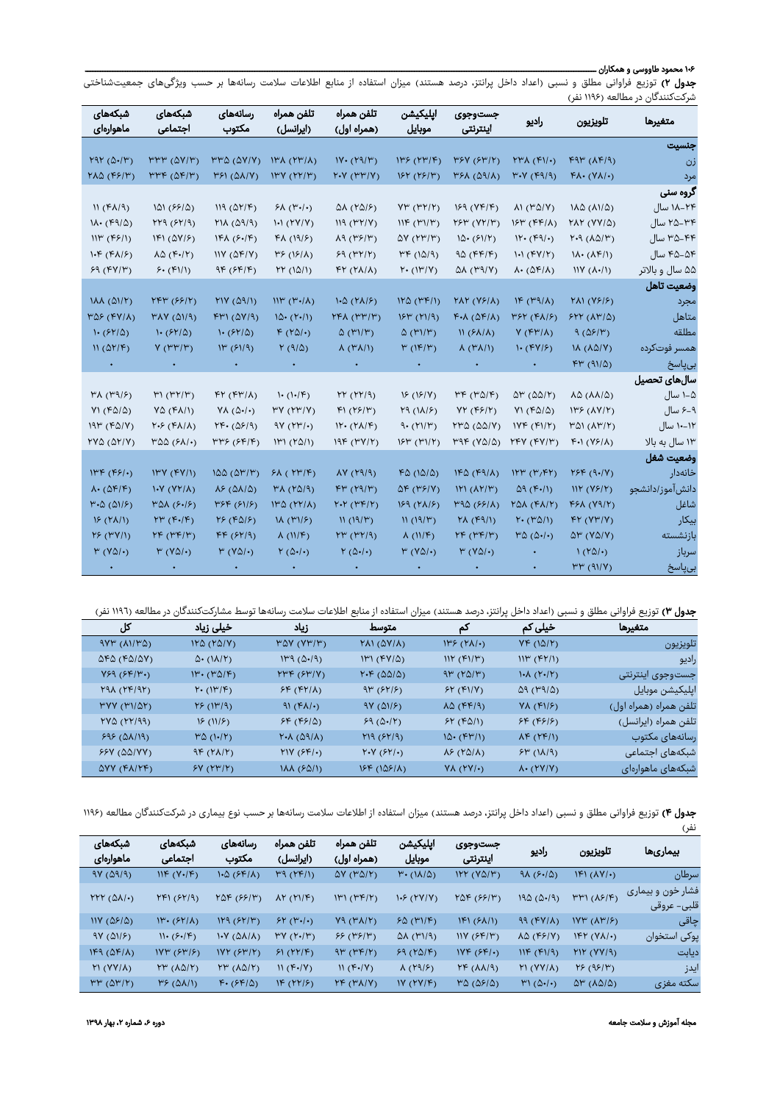#### ۱۰۶ محمود طاووسی و همکاران ـــــــــــــــــــــــــــــــــــــــــــــــــــــــــــــــــــــــــــــــــــــــــــــــــــــــــــــــــــــــــــــــــــــــــــــــــــــــــــــــــــــــــــــــــــــــــــــــــــــــــــــ

جدول ۲) توزیع فراوانی مطلق و نسبی (اعداد داخل پرانتز، درصد هستند) میزان استفاده از منابع اطلاعات سلامت رسانهها بر حسب ویژگیهای جمعیتشناختی شرکتکنندگان در مطالعه (۱۱۹۶ نفر)

| شبكەھاي<br>ماهوارەاي                                       | شبكههای<br>اجتماعي                                                    | رسانەھاي<br>مكتوب                                                | تلفن همراه<br>(ایرانسل)                  | تلفن همراه<br>(همراه اول)                      | ايليكيشن<br>موبايل                               | جستوجوي<br>اينترنتى                    | راديو                                                                | تلويزيون                                          | متغيرها                  |
|------------------------------------------------------------|-----------------------------------------------------------------------|------------------------------------------------------------------|------------------------------------------|------------------------------------------------|--------------------------------------------------|----------------------------------------|----------------------------------------------------------------------|---------------------------------------------------|--------------------------|
|                                                            |                                                                       |                                                                  |                                          |                                                |                                                  |                                        |                                                                      |                                                   | جنسيت                    |
| $YAY(\Delta)/Y)$                                           | $\mathsf{m}\mathsf{m}'$ ( $\mathsf{a}\mathsf{v}/\mathsf{m}'$ )        | $\mathsf{H}^{\mathsf{H}}\mathsf{Q}$ ( $\mathsf{QV}/\mathsf{V}$ ) | $\mathsf{N}(\mathsf{Y}^\mu/\mathsf{A})$  | IV. (Y9/Y)                                     | $I^{\mu \nu} (I^{\mu}/F)$                        | YSY(SY/Y)                              | $Y^{\mu}$ A $(Y\cup$                                                 | F9F(AF/9)                                         | زن                       |
| $Y\Lambda\Delta$ (۴۶/۳)                                    | $rrr$ ( $\Delta F/T$ )                                                | $Y51 (0\lambda/Y)$                                               | I''Y (YY/Y)                              | $Y\cdot Y$ ( $Y\cdot Y$ )                      | 154 (15/14)                                      | (۵۹/۸) ۳۶۸                             | ۳۰۷ (۴۹/۹)                                                           | $FA. (Y\Lambda/\cdot)$                            | مرد                      |
|                                                            |                                                                       |                                                                  |                                          |                                                |                                                  |                                        |                                                                      |                                                   | گروه سنی                 |
| $N(f\lambda/9)$                                            | 101 (55/0)                                                            | $III($ $\Delta Y/F)$                                             | $5\lambda$ ( $4\cdot$ )                  | (۱۵۱۶) ۵۸                                      | $Y^{\mu}$ (۳۲/۲)                                 | 159 (YF/F)                             | $\Lambda$ (۳۵/۷)                                                     | $1\lambda\Delta$ ( $\lambda$ 1/ $\Delta$ )        | ۱۸–۱۸ سال                |
| $1\Lambda$ . $(F9/\Delta)$                                 | YY9(5Y/9)                                                             | $M(\Delta Q)$                                                    | $\mathcal{W}(Y Y)$                       | $III($ ۳۲/۷)                                   | $\mathsf{HF}(\mathsf{M})/\mathsf{M}(\mathsf{M})$ | YSP (YY/Y)                             | $154$ (FF/ $\Lambda$ )                                               | $YAY (YY/\Delta)$                                 | ۳۴–۲۵ سال                |
| $111^{\omega} (F5/1)$                                      | $IFI(\Delta V/F)$                                                     | IFA(F'/F)                                                        | 41915)                                   | $\lambda$ 9 (۳۶/۳)                             | $\Delta V$ ( $\gamma P/\gamma$ )                 | $10.5$ ( $51/7$ )                      | 11. (61)                                                             | $Y.A. (\lambda \Delta/Y)$                         | ۳۵–۳۵ سال                |
| $1.5$ ( $81/5$ )                                           | $\lambda \Delta$ (F./۲)                                               | NY(DF/Y)                                                         | (۱۶/۸) ۳۶                                | 59 (YY/Y)                                      | MF(10/9)                                         | 90(55/5)                               | 1.1(FY/Y)                                                            | $\mathcal{M} \cdot (\mathcal{N} \mathcal{F} / I)$ | ۴۵–۴۵ سال                |
| 59 (FV/V)                                                  | $5.$ ( $F1/1$ )                                                       | 9F(5F/F)                                                         | YY(10/1)                                 | $f(Y(\lambda/\lambda))$                        | $Y \cdot (1)^w/Y$                                | $\Delta\lambda$ (۳۹/۷)                 | $\lambda \cdot (\Delta F/\lambda)$                                   | $\frac{1}{\sqrt{2}}$ ( $\lambda$ ·/ $\lambda$ )   | ۵۵ سال و بالاتر          |
|                                                            |                                                                       |                                                                  |                                          |                                                |                                                  |                                        |                                                                      |                                                   | وضعيت تاهل               |
| NA(0)/Y)                                                   | YFY (S5/Y)                                                            | $M(Y(\Delta 9))$                                                 | $\mathsf{NP}(\mathsf{r}\cdot\mathsf{N})$ | $1.0 (Y\Lambda/\mathcal{F})$                   | 110 (14)                                         | <b>MY (VS/A)</b>                       | IF(M)                                                                | $Y\Lambda$ ( $Y5/5$ )                             | مجرد                     |
| MSE(Y X)                                                   | $M(X)$ ( $\Delta$ 1/9)                                                | F''(AY/9)                                                        | $10 \cdot (1 \cdot 1)$                   | ۳۴۸ (۳۳/۳)                                     | $154$ ( $11/9$ )                                 | $k$ ۰۷ (۵۴۱۷)                          | PSP(PA P)                                                            | $5YY(AY/\Delta)$                                  | متاهل                    |
| $\cdot$ (۶۲/۵)                                             | 1.51(81/2)                                                            | $\cdot$ (۶۲/۵)                                                   | $k(\text{val})$                          | $\Delta$ (۳۱/۳)                                | $\Delta$ (۳۱/۳)                                  | $N(5\lambda/\lambda)$                  | $V(FY/\Lambda)$                                                      | 9(051)                                            | مطلقه                    |
| $N(\Delta Y/F)$                                            | V(rF F)                                                               | $1^{14} (51/9)$                                                  | $Y(9/\Delta)$                            | $\lambda$ (۳ $\lambda$ /۱)                     | $\mu$ ( $\mu$ )                                  | $\lambda$ (۳ $\lambda$ /۱)             | $\mathsf{I}$ (FY/ $\mathsf{F}$ )                                     | $\Lambda(\Delta\Delta/V)$                         | همسر فوتكرده             |
|                                                            |                                                                       |                                                                  |                                          |                                                |                                                  |                                        |                                                                      | FP(91/2)                                          | بىياسخ                   |
|                                                            |                                                                       |                                                                  |                                          |                                                |                                                  |                                        |                                                                      |                                                   | سالهای تحصیل             |
| M(N9/5)                                                    | $\mathcal{W}(\mathcal{W}^{\prime} \mathcal{W})$                       | $YY (YY/\Lambda)$                                                | $\cdot$ ( $\cdot$ / $\epsilon$ )         | YY(YY/9)                                       | 15(15/9)                                         | $\mu \kappa$ ( $\mu \Delta/\kappa$ )   | $\Delta V$ ( $\Delta \Delta V$ )                                     | $\lambda \Delta (\lambda \lambda / \Delta)$       | ۱–۸ سال                  |
| $Y1 (F\Delta/\Delta)$                                      | $Y\Delta (Y\Lambda/1)$                                                | $Y\Lambda (\Delta \cdot / \cdot)$                                | YY (YY/Y)                                | F1(Y5/Y)                                       | $Y9(1\lambda/\epsilon)$                          | YY (F5/Y)                              | $Y1 (F\Delta/\Delta)$                                                | (١٣۶ (١٧/٢)                                       | ۹–۶ سال                  |
| $19\%$ ( $6/1$ )                                           | $Y.S. (FA/\Lambda)$                                                   | $YF \cdot (\Delta F/9)$                                          | $9Y (YY/\cdot)$                          | $H \cdot (Y \Lambda / F)$                      | 9. (Y1/Y)                                        | $Y^{\mu}$ $\Delta$ $(\Delta \Delta/Y)$ | NYF (F1/Y)                                                           | $M(\lambda^{\mu}/\nu)$                            | ۱۲–۱۰ سال                |
| YYQ(QY/Y)                                                  | ۳۵۵ (۶۸۱۰)                                                            | ۳۳۶ (۶۴/۴)                                                       | 111 (10/1)                               | 19F (YY/Y)                                     | $15\mu$ ( $41/4$ )                               | $MAP (VQ/\Delta)$                      | <b>YFY (FY/۳)</b>                                                    | $F(1(Y5/\lambda))$                                | ۱۳ سال به بالا           |
|                                                            |                                                                       |                                                                  |                                          |                                                |                                                  |                                        |                                                                      |                                                   | وضعيت شغل                |
| $I^{\mu\nu}$ (۴۶/۰)                                        | I''Y (YY)                                                             | 100 (0 <sup>w</sup> /r)                                          | $5\lambda$ ( $Y^{\mu}/\mathcal{F}$ )     | $(19/9)$ VA                                    | FO(10/0)                                         | IPQ(F9/A)                              | IYP(Y/FY)                                                            | YSP(9.1)                                          | خانەدار                  |
| $\Lambda$ . ( $\Delta$ $F$ / $F$ )                         | V(Y X)                                                                | $\lambda \epsilon$ ( $\Delta \lambda/\Delta$ )                   | $(\rho/\Delta \gamma)$                   | FP(Y3/Y)                                       | $\Delta \mathbf{F}$ (۳۶/۷)                       | $(\lambda Y/\mu)$                      | $Q(1 + 1)$                                                           | WF(YF/Y)                                          | دانشآموز <i>ا</i> دانشجو |
| $\mathsf{M}\text{-}\mathsf{Q}$ ( $\mathsf{QM}\mathsf{S}$ ) | $M(X, \mathcal{F}_1   \mathcal{F}_2)$                                 | ۳۶۴ (۶۱/۶)                                                       | 140 (14)                                 | Y.Y (YF/Y)                                     | $159 (Y\lambda/5)$                               | MQ(S5/N)                               | ۲۵۸ (۴۸/۲)                                                           | $F5\lambda (Y9/Y)$                                | شاغل                     |
| $\sqrt{(\gamma\lambda/\eta)}$                              | $\mathsf{Y}\mathsf{I}^\nu\ (\mathsf{F}\boldsymbol{\cdot}/\mathsf{F})$ | Y5(FA/5)                                                         | $1\lambda$ (۳ $1/5$ )                    | M(M/Y)                                         | N(19/Y)                                          | $Y\Lambda$ ( $f\Lambda$ )              | $Y \cdot (Y \Delta / 1)$                                             | FY (YY/Y)                                         | بيكار                    |
| $Y$ $(YY/1)$                                               | $YF(Y^{\mu}F)$                                                        | FF(519)                                                          | $\lambda$ ( $N/F$ )                      | (۳۲/۹ م                                        | $\lambda$ ( $N/F$ )                              | $YF(Y^{\mu})$                          | $\mathsf{r}\mathsf{\Delta}\left(\mathsf{\Delta\cdot/\bullet}\right)$ | $\Delta V$ ( $V\Delta/V$ )                        | بازنشسته                 |
| $\upmu$ (VQ/+)                                             | $\upmu$ (VQ/+)                                                        | $M(V\Delta/\cdot)$                                               | $\gamma(\varpi\cdot/\cdot)$              | $\mathbf{Y}\left(\Delta\bullet/\bullet\right)$ | $M(V\Delta/\cdot)$                               | $\upmu$ (VQ/+)                         |                                                                      | $\Gamma(\text{YQ}/\cdot)$                         | سرباز                    |
|                                                            |                                                                       |                                                                  |                                          |                                                |                                                  |                                        |                                                                      | $\mu\mu$ (٩١/٧)                                   | بىياسخ                   |

جدول ٣) توزیع فراوانی مطلق و نسبی (اعداد داخل پرانتز، درصد هستند) میزان استفاده از منابع اطلاعات سلامت رسانهها توسط مشارکتکنندگان در مطالعه (١١٩٦ نفر)

| کل                                           | خیلی زیاد                | زياد                                                                       | متوسط                                | کم                                         | خیلی کم                                         | متغيرها                |
|----------------------------------------------|--------------------------|----------------------------------------------------------------------------|--------------------------------------|--------------------------------------------|-------------------------------------------------|------------------------|
| $\frac{1}{2}$ ( $\frac{1}{2}$ )              | $1Y\Delta (Y\Delta/Y)$   | $M(V^{\mu}/V)$                                                             | $Y\Lambda$ ( $\Delta$ Y/ $\Lambda$ ) | $1\frac{\mu}{2}$ ( $\frac{\mu}{\lambda}$ ) | VF(1Q/Y)                                        | تلويزيون               |
| $\Delta F \Delta$ (F $\Delta$ / $\Delta V$ ) | $\Delta$ ( $\Lambda$ /۲) | $1\mu$ 9 ( $\Delta$ ·/9)                                                   | $I^{\mu}$ $(Y/\Delta)$               | IIP(f1/F)                                  | $IIP$ (FY/1)                                    | راديو                  |
| Y59 (5F/F)                                   | $W \cdot (W \Delta / F)$ | $Y\mathsf{P} \mathsf{F}$ ( $\mathsf{S} \mathsf{P} \mathsf{I} \mathsf{V}$ ) | Y.F (QQ/Q)                           | $9\mu (Y\&Y)$                              | $\lambda$ (۲۰/۲)                                | جستوجوى اينترنتى       |
| $Y9\lambda (YF/9Y)$                          | $Y \cdot (1)^{\omega}$   | $5F(TY \Lambda)$                                                           | $9^{\mu} (51/5)$                     | 5Y (F1/Y)                                  | $\Delta$ 9 (۳۹/۵)                               | ايليكيشن موبايل        |
| MYY (Y)/QY)                                  | $Y5(1^{\omega}/9)$       | $91(fA/\cdot)$                                                             | 9Y(0)/5                              | $\lambda \Delta$ (FF/9)                    | YA (F1/F)                                       | تلفن همراه (همراه اول) |
| YYQ(YY/99)                                   | 15(11/5)                 | 56(590)                                                                    | 59(0.1)                              | 54(60)                                     | 56(515)                                         | تلفن همراه (ایرانسل)   |
| 595(01/19)                                   | $M(\cdot, \gamma)$       | $Y.A.(\Delta 9/\Lambda)$                                                   | Y19 (SY/9)                           | 10. (FW)                                   | $\lambda \mathcal{F}(\mathcal{Y}\mathcal{F}/I)$ | رسانەھاي مكتوب         |
| 55Y (QQ/YY)                                  | $9F (Y\Lambda/Y)$        | Y Y (5F)                                                                   | $Y\cdot Y (5Y/\cdot)$                | $\lambda$ ۶ (۲۵/ $\lambda$ )               | $5^{\mu}$ ( $\Lambda/9$ )                       | شبکههای اجتماعی        |
| $\Delta VV$ ( $FA/VP$ )                      | Y(Y Y)                   | $MAX (5\Delta/1)$                                                          | 15F(1Q51A)                           | $Y\Lambda (YY/\cdot)$                      | $\Lambda$ (YY/Y)                                | ٔ شبکههای ماهوارهای    |

جدول ۴) توزیع فراوانی مطلق و نسبی (اعداد داخل پرانتز، درصد هستند) میزان استفاده از اطلاعات سلامت رسانهها بر حسب نوع بیماری در شرکتکنندگان مطالعه (۱۱۹۶

| <b>جدول ۳)</b> توزیع فراوانی مطلق و نسبی (اعداد داخل پرانتز، درصد هستند) میزان استفاده از اطلاعات سلامت رسانهها بر حسب نوع بیماری در شرنت(ننندتان مطالعه (۱۱۶۲<br>نفر) |                                       |                                      |                         |                                         |                                       |                            |                           |                                          |                                  |
|------------------------------------------------------------------------------------------------------------------------------------------------------------------------|---------------------------------------|--------------------------------------|-------------------------|-----------------------------------------|---------------------------------------|----------------------------|---------------------------|------------------------------------------|----------------------------------|
| شبكههاى<br>ماهوارەاي                                                                                                                                                   | شبكههای<br>اجتماعى                    | رسانەھاي<br>مكتوب                    | تلفن همراه<br>(ایرانسل) | تلفن همراه<br>(همراه اول)               | اپلیکیشن<br>موبايل                    | جستوجوي<br>اينترنتي        | راديو                     | تلويزيون                                 | بيمارىها                         |
| 9Y(09/9)                                                                                                                                                               | $NF (Y-/F)$                           | 1.0 (SF/A)                           | M(151)                  | $\Delta Y$ ( $P\Delta/Y$ )              | $\mathsf{M} \cdot (1/\lambda/\Delta)$ | $IYY (Y\Delta/Y)$          | $9\lambda (9.10)$         | $IFI (AV/\cdot)$                         | سرطان                            |
| $YYY(\Delta\lambda/\cdot)$                                                                                                                                             | $\gamma$ (۶۲/۹)                       | $Y\Delta Y (55/Y)$                   | $\Lambda Y$ ( $Y1/F$ )  | $\mathcal{W}(\mathcal{W}(\mathcal{V}))$ | 1.5 (YY/Y)                            | $Y\Delta F (55/Y)$         | 190(0.19)                 | $\upmu$ <sup>w</sup> ) $(\uplambda$ ۶/۴) | فشار خون و بیماری<br>قلبي- عروقي |
| $NY(DF/\Delta)$                                                                                                                                                        | $I^{\mu}$ (۶۲/۸)                      | $119 (51/\mu)$                       | 54 (4.1)                | $YA (Y\Lambda/Y)$                       | 50(11)F                               | $ Y  (5\lambda/1)$         | 99 (FY/A)                 | $IVP' (AP/\mathcal{F})$                  | جاقی                             |
| 9Y(0)/5                                                                                                                                                                | $\Pi \cdot (5.7)$                     | $\mathcal{N}(\Delta\lambda/\lambda)$ | YY(Y'/Y')               | 55(19/19)                               | $\Delta\lambda$ (۳۱/۹)                | NY(5F/Y)                   | $\lambda \Delta$ (FFIV)   | $IFF (V\Lambda/\cdot)$                   | يوكى استخوان                     |
| IF9(OP/A)                                                                                                                                                              | NYW (SYY)                             | NYY (SY/Y)                           | 51(117)                 | $\gamma^{\mu}$ ( $\gamma^{\mu}$ )       | 59(10/5)                              | $IVF(SF/\cdot)$            | IIF(F1/9)                 | Y Y (YY/9)                               | ديابت                            |
| Y1 (YY/A)                                                                                                                                                              | $YY'(A\Delta/Y)$                      | $YY'(A\Delta/Y)$                     | $N(f-1/Y)$              | N(F)/Y                                  | $\Lambda$ ( $9/5$ )                   | $YF(\lambda\lambda/9)$     | Y1 (YY/A)                 | Y5(95/Y)                                 | ايدز                             |
| $\mathsf{r} \mathsf{r}'$ ( $\Delta \mathsf{r}' \mathsf{r}$ )                                                                                                           | $Y^{\epsilon}(\Delta\lambda/\lambda)$ | $F. (SF/\Delta)$                     | IF(YY S)                | YF(YX/Y)                                | IY(YY/F)                              | $M\Delta(\Delta S/\Delta)$ | $M(\Delta \cdot / \cdot)$ | $\Delta V$ ( $\Delta\Delta/\Delta$ )     | سكته مغزى                        |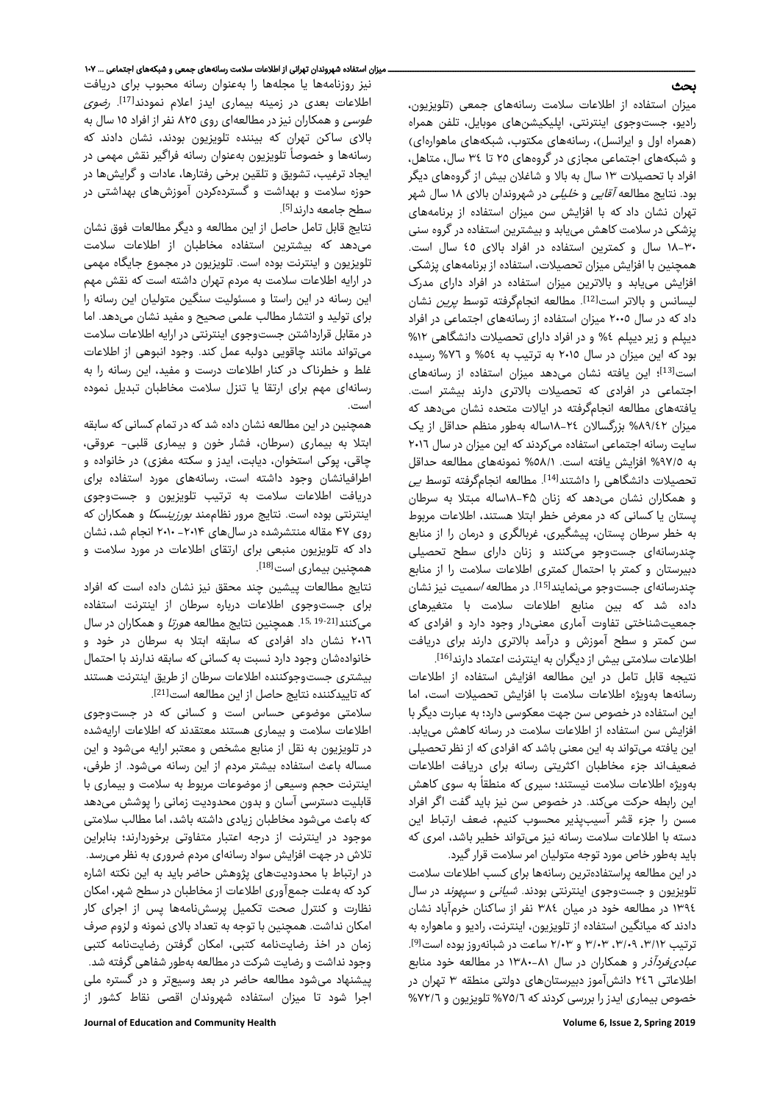# بحث

میزان استفاده از اطلاعات سلامت رسانههای جمعی (تلویزیون، رادیو، جستوجوی اینترنتی، اپلیکیشنهای موبایل، تلفن همراه (همراه اول و ایرانسل)، رسانههای مکتوب، شبکههای ماهوارهای) و شبکههای اجتماعی مجازی در گروههای ٢٥ تا ٣٤ سال، متاهل، افراد با تحصیلات ١٣ سال به بالا و شاغلان بیش از گروههای دیگر بود. نتایج مطالعه آقایی و خلیلی در شهروندان بالای ١٨ سال شهر تهران نشان داد که با افزایش سن میزان استفاده از برنامههای پزشکی در سلامت کاهش مییابد و بیشترین استفاده در گروه سنی ١٨-٣٠ سال و کمترین استفاده در افراد بالای ٤٥ سال است. همچنین با افزایش میزان تحصیلات، استفاده از برنامههای پزشکی افزایش مییابد و بالاترین میزان استفاده در افراد دارای مدرک لیسانس و بالاتر است<sup>[12]</sup>. مطالعه انجامگرفته توسط *پرین* نشان داد که در سال ٢٠٠٥ میزان استفاده از رسانههای اجتماعی در افراد دیپلم و زیر دیپلم %٤ و در افراد دارای تحصیلات دانشگاهی %١٢ بود که این میزان در سال ٢٠١٥ به ترتیب به %٥٤ و %٧٦ رسیده است<sup>[13]</sup>؛ این یافته نشان میدهد میزان استفاده از رسانههای اجتماعی در افرادی که تحصیلات بالاتری دارند بیشتر است. یافتههای مطالعه انجامگرفته در ایالات متحده نشان میدهد که میزان %٨٩/٤٢ بزرگسالان ١٨-٢٤ساله بهطور منظم حداقل از یک سایت رسانه اجتماعی استفاده میکردند که این میزان در سال ٢٠١٦ به %٩٧/٥ افزایش یافته است. %٥٨/١ نمونههای مطالعه حداقل تحصیلات دانشگاهی را داشتند<sup>[14]</sup>. مطالعه انجامگرفته توسط *ی*ی و همکاران نشان میدهد که زنان ۱۸-۴۵ساله مبتلا به سرطان پستان یا کسانی که در معرض خطر ابتلا هستند، اطلاعات مربوط به خطر سرطان پستان، پیشگیری، غربالگری و درمان را از منابع چندرسانهای جستوجو میکنند و زنان دارای سطح تحصیلی دبیرستان و کمتر با احتمال کمتری اطلاعات سلامت را از منابع چندرسانهای جستوجو مینمایند<sup>[15]</sup>. در مطالعه *اسمیت* نیز نشان داده شد که بین منابع اطلاعات سلامت با متغیرهای جمعیتشناختی تفاوت آماری معنیدار وجود دارد و افرادی که سن کمتر و سطح آموزش و درآمد بالاتری دارند برای دریافت اطلاعات سلامتی بیش از دیگران به اینترنت اعتماد دارند<sup>[16]</sup>. .

نتیجه قابل تامل در این مطالعه افزایش استفاده از اطلاعات رسانهها بهویژه اطلاعات سلامت با افزایش تحصیلات است، اما این استفاده در خصوص سن جهت معکوسی دارد؛ به عبارت دیگر با افزایش سن استفاده از اطلاعات سلامت در رسانه کاهش مییابد. این یافته میتواند به این معنی باشد که افرادی که از نظر تحصیلی ضعیفاند جزء مخاطبان اکثریتی رسانه برای دریافت اطلاعات بهویژه اطلاعات سلامت نیستند؛ سیری که منطقاً به سوی کاهش این رابطه حرکت میکند. در خصوص سن نیز باید گفت اگر افراد مسن را جزء قشر آسیبپذیر محسوب کنیم، ضعف ارتباط این دسته با اطلاعات سلامت رسانه نیز میتواند خطیر باشد، امری که باید بهطور خاص مورد توجه متولیان امر سلامت قرار گیرد.

در این مطالعه پراستفادهترین رسانهها برای کسب اطلاعات سلامت تلویزیون و جستوجوی اینترنتی بودند. *شیانی* و *سپهوند* در سال ١٣٩٤ در مطالعه خود در میان ٣٨٤ نفر از ساکنان خرمآباد نشان دادند که میانگین استفاده از تلویزیون، اینترنت، رادیو و ماهواره به ترتیب ۳/۱۲، ۳/۰۹، ۳/۰۳ و ۲/۰۳ ساعت در شبانهروز بوده است<sup>91</sup>]. عبادیفردآذر و همکاران در سال ١٣٨٠-٨١ در مطالعه خود منابع اطلاعاتی ٢٤٦ دانشآموز دبیرستانهای دولتی منطقه ٣ تهران در خصوص بیماری ایدز را بررسی کردند که %٧٥/٦ تلویزیون و %٧٢/٦

نیز روزنامهها یا مجلهها را بهعنوان رسانه محبوب برای دریافت اطلاعات بعدی در زمینه بیماری ایدز اعلام نمودند<sup>[17]</sup>. *رضوی* طوسی و همکاران نیز در مطالعهای روی ٨٢٥ نفر از افراد ١٥ سال به بالای ساکن تهران که بیننده تلویزیون بودند، نشان دادند که رسانهها و خصوصاً تلویزیون بهعنوان رسانه فراگیر نقش مهمی در ایجاد ترغیب، تشویق و تلقین برخی رفتارها، عادات و گرایشها در حوزه سلامت و بهداشت و گستردهكردن آموزشهای بهداشتی در سطح جامعه دارند<sup>[5]</sup>.

نتایج قابل تامل حاصل از این مطالعه و دیگر مطالعات فوق نشان میدهد که بیشترین استفاده مخاطبان از اطلاعات سلامت تلویزیون و اینترنت بوده است. تلویزیون در مجموع جایگاه مهمی در ارایه اطلاعات سلامت به مردم تهران داشته است که نقش مهم این رسانه در این راستا و مسئولیت سنگین متولیان این رسانه را برای تولید و انتشار مطالب علمی صحیح و مفید نشان میدهد. اما در مقابل قرارداشتن جستوجوی اینترنتی در ارایه اطلاعات سلامت میتواند مانند چاقویی دولبه عمل کند. وجود انبوهی از اطلاعات غلط و خطرناک در کنار اطلاعات درست و مفید، این رسانه را به رسانهای مهم برای ارتقا یا تنزل سلامت مخاطبان تبدیل نموده است.

همچنین در این مطالعه نشان داده شد که در تمام کسانی که سابقه ابتلا به بیماری (سرطان، فشار خون و بیماری قلبی- عروقی، چاقی، پوکی استخوان، دیابت، ایدز و سکته مغزی) در خانواده و اطرافیانشان وجود داشته است، رسانههای مورد استفاده برای دریافت اطلاعات سلامت به ترتیب تلویزیون و جستوجوی اینترنتی بوده است. نتایج مرور نظاممند بورزینسکا و همکاران که روی ۴۷ مقاله منتشرشده در سالهای -۲۰۱۴ ۲۰۱۰ انجام شد، نشان داد که تلویزیون منبعی برای ارتقای اطلاعات در مورد سلامت و . همچنین بیماری است[18]

نتایج مطالعات پیشین چند محقق نیز نشان داده است که افراد برای جستوجوی اطلاعات درباره سرطان از اینترنت استفاده میکنند<sup>15, 19-21</sup>. همچنین نتایج مطالعه *هورتا* و همکاران در سال ٢٠١٦ نشان داد افرادی که سابقه ابتلا به سرطان در خود و خانوادهشان وجود دارد نسبت به کسانی که سابقه ندارند با احتمال بیشتری جستوجوکننده اطلاعات سرطان از طریق اینترنت هستند كه تاییدكننده نتایج حاصل از این مطالعه است<sup>[21]</sup>. .

سلامتی موضوعی حساس است و کسانی که در جستوجوی اطلاعات سلامت و بیماری هستند معتقدند که اطلاعات ارایهشده در تلویزیون به نقل از منابع مشخص و معتبر ارایه میشود و این مساله باعث استفاده بیشتر مردم از این رسانه میشود. از طرفی، اینترنت حجم وسیعی از موضوعات مربوط به سلامت و بیماری با قابلیت دسترسی آسان و بدون محدودیت زمانی را پوشش میدهد که باعث میشود مخاطبان زیادی داشته باشد، اما مطالب سلامتی موجود در اینترنت از درجه اعتبار متفاوتی برخوردارند؛ بنابراین تلاش در جهت افزایش سواد رسانهای مردم ضروری به نظر میرسد. در ارتباط با محدودیتهای پژوهش حاضر باید به این نکته اشاره کرد که بهعلت جمعآوری اطلاعات از مخاطبان در سطح شهر، امکان نظارت و کنترل صحت تکمیل پرسشنامهها پس از اجرای کار امکان نداشت. همچنین با توجه به تعداد بالای نمونه و لزوم صرف زمان در اخذ رضایتنامه کتبی، امکان گرفتن رضایتنامه کتبی وجود نداشت و رضایت شرکت در مطالعه بهطور شفاهی گرفته شد. پیشنهاد میشود مطالعه حاضر در بعد وسیعتر و در گستره ملی اجرا شود تا میزان استفاده شهروندان اقصی نقاط کشور از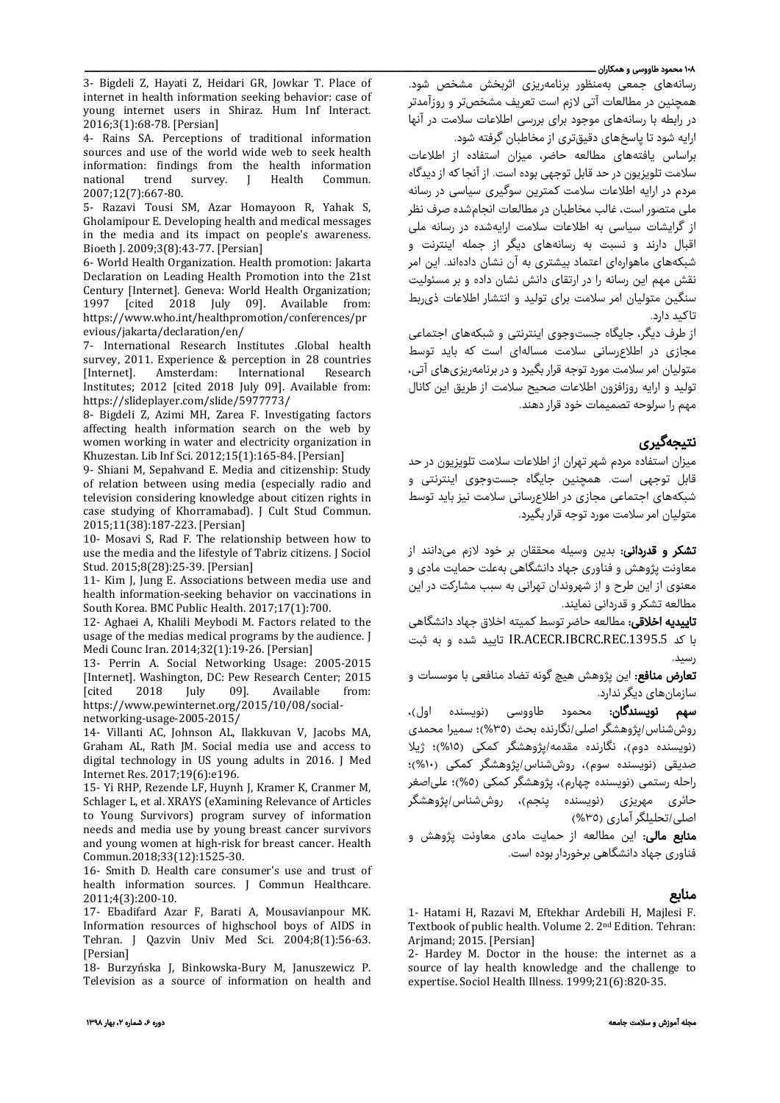#### ۱۰۸ محمود طاووسی و همکاران ـــ

3- Bigdeli Z, Hayati Z, Heidari GR, Jowkar T. Place of internet in health information seeking behavior: case of young internet users in Shiraz. Hum Inf Interact. 2016;3(1):68-78. [Persian]

4- Rains SA. Perceptions of traditional information sources and use of the world wide web to seek health information: findings from the health information<br>national trend survey. J Health Commun. survey. 2007;12(7):667-80.

5- Razavi Tousi SM, Azar Homayoon R, Yahak S, Gholamipour E. Developing health and medical messages in the media and its impact on people's awareness. Bioeth J. 2009;3(8):43-77. [Persian]

6- World Health Organization. Health promotion: Jakarta Declaration on Leading Health Promotion into the 21st Century [Internet]. Geneva: World Health Organization; [cited 2018 July 09]. Available from: https://www.who.int/healthpromotion/conferences/pr evious/jakarta/declaration/en/

7- International Research Institutes .Global health survey, 2011. Experience & perception in 28 countries<br>[Internet]. Amsterdam: International Research [Internet]. Amsterdam: International Research Institutes; 2012 [cited 2018 July 09]. Available from: https://slideplayer.com/slide/5977773/

8- Bigdeli Z, Azimi MH, Zarea F. Investigating factors affecting health information search on the web by women working in water and electricity organization in Khuzestan. Lib Inf Sci. 2012;15(1):165-84. [Persian]

9- Shiani M, Sepahvand E. Media and citizenship: Study of relation between using media (especially radio and television considering knowledge about citizen rights in case studying of Khorramabad). J Cult Stud Commun. 2015;11(38):187-223. [Persian]

10- Mosavi S, Rad F. The relationship between how to use the media and the lifestyle of Tabriz citizens. J Sociol Stud. 2015;8(28):25-39. [Persian]

11- Kim J, Jung E. Associations between media use and health information-seeking behavior on vaccinations in South Korea. BMC Public Health. 2017;17(1):700.

12- Aghaei A, Khalili Meybodi M. Factors related to the usage of the medias medical programs by the audience. J Medi Counc Iran. 2014;32(1):19-26. [Persian]

13- Perrin A. Social Networking Usage: 2005-2015 [Internet]. Washington, DC: Pew Research Center; 2015 Available https://www.pewinternet.org/2015/10/08/socialnetworking-usage-2005-2015/

14- Villanti AC, Johnson AL, Ilakkuvan V, Jacobs MA, Graham AL, Rath JM. Social media use and access to digital technology in US young adults in 2016. J Med Internet Res. 2017;19(6):e196.

15- Yi RHP, Rezende LF, Huynh J, Kramer K, Cranmer M, Schlager L, et al. XRAYS (eXamining Relevance of Articles to Young Survivors) program survey of information needs and media use by young breast cancer survivors and young women at high-risk for breast cancer. Health Commun.2018;33(12):1525-30.

16- Smith D. Health care consumer's use and trust of health information sources. J Commun Healthcare. 2011;4(3):200-10.

17- Ebadifard Azar F, Barati A, Mousavianpour MK. Information resources of highschool boys of AIDS in Tehran. J Qazvin Univ Med Sci. 2004;8(1):56-63. [Persian]

18- Burzyńska J, Binkowska-Bury M, Januszewicz P. Television as a source of information on health and رسانههای جمعی بهمنظور برنامهریزی اثربخش مشخص شود. همچنین در مطالعات آتی لازم است تعریف مشخصتر و روزآمدتر در رابطه با رسانههای موجود برای بررسی اطلاعات سلامت در آنها ارایه شود تا پاسخهای دقیقتری از مخاطبان گرفته شود.

براساس یافتههای مطالعه حاضر، میزان استفاده از اطلاعات سلامت تلویزیون در حد قابل توجهی بوده است. از آنجا که از دیدگاه مردم در ارایه اطلاعات سلامت کمترین سوگیری سیاسی در رسانه ملی متصور است، غالب مخاطبان در مطالعات انجامشده صرف نظر از گرایشات سیاسی به اطلاعات سلامت ارایهشده در رسانه ملی اقبال دارند و نسبت به رسانههای دیگر از جمله اینترنت و شبکههای ماهوارهای اعتماد بیشتری به آن نشان دادهاند. این امر نقش مهم این رسانه را در ارتقای دانش نشان داده و بر مسئولیت سنگین متولیان امر سلامت برای تولید و انتشار اطلاعات ذیربط تاکید دارد.

از طرف دیگر، جایگاه جستوجوی اینترنتی و شبکههای اجتماعی مجازی در اطلاعرسانی سلامت مسالهای است که باید توسط متولیان امر سلامت مورد توجه قرار بگیرد و در برنامهریزیهای آتی، تولید و ارایه روزافزون اطلاعات صحیح سلامت از طریق این کانال مهم را سرلوحه تصمیمات خود قرار دهند.

# نتیجهگیری

میزان استفاده مردم شهر تهران از اطلاعات سلامت تلویزیون در حد قابل توجهی است. همچنین جایگاه جستوجوی اینترنتی و شبکههای اجتماعی مجازی در اطلاعرسانی سلامت نیز باید توسط متولیان امر سلامت مورد توجه قرار بگیرد.

تشکر و قدردانی: بدین وسیله محققان بر خود لازم میدانند از معاونت پژوهش و فناوری جهاد دانشگاهی بهعلت حمایت مادی و معنوی از این طرح و از شهروندان تهرانی به سبب مشارکت در این مطالعه تشکر و قدردانی نمایند.

**تاییدیه اخلاقی**: مطالعه حاضر توسط کمیته اخلاق جهاد دانشگاهی با کد .1395.5REC.IBCRC.ACECR.IR تایید شده و به ثبت رسید.

<mark>تعارض منافع</mark>: این پژوهش هیچ گونه تضاد منافعی با موسسات و سازمانهای دیگر ندارد.

سهم نویسندگان: محمود طاووسی (نویسنده اول)، روششناس/پژوهشگر اصلی/نگارنده بحث (%٣٥)؛ سمیرا محمدی (نویسنده دوم)، نگارنده مقدمه/پژوهشگر کمکی (%١٥)؛ ژیلا صدیقی (نویسنده سوم)، روششناس/پژوهشگر کمکی (%١٠)؛ راحله رستمی (نویسنده چهارم)، پژوهشگر کمکی (%٥)؛ علیاصغر حائری مهریزی (نویسنده پنجم)، روششناس/پژوهشگر اصلی/تحلیلگر آماری (%٣٥)

م**نابع مالی:** این مطالعه از حمایت مادی معاونت پژوهش و فناوری جهاد دانشگاهی برخوردار بوده است.

# منابع

1- Hatami H, Razavi M, Eftekhar Ardebili H, Majlesi F. Textbook of public health. Volume 2. 2nd Edition. Tehran: Arjmand; 2015. [Persian]

2- Hardey M. Doctor in the house: the internet as a source of lay health knowledge and the challenge to expertise. Sociol Health Illness. 1999;21(6):820-35.